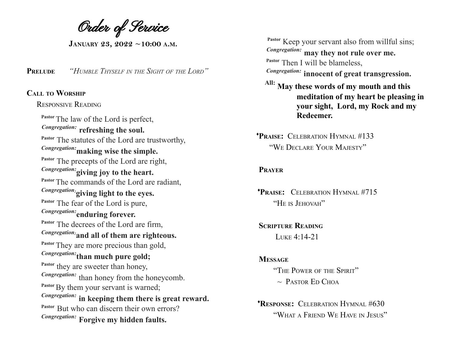Order of Service

**JANUARY 23, 2022 ~10:00 <sup>A</sup>.M.**

**PRELUDE** *"HUMBLE THYSELF IN THE SIGHT OF THE LORD"*

## **CALL TO WORSHIP**

## RESPONSIVE READING

**Pastor**The law of the Lord is perfect, *Congregation:* **refreshing the soul. Pastor** The statutes of the Lord are trustworthy, *Congregation:***making wise the simple. Pastor** The precepts of the Lord are right, *Congregation:***giving joy to the heart.** Pastor The commands of the Lord are radiant, *Congregation:***giving light to the eyes. Pastor** The fear of the Lord is pure, *Congregation:* **enduring forever. Pastor** The decrees of the Lord are firm, *Congregation:***and all of them are righteous.** Pastor They are more precious than gold, *Congregation:* **than much pure gold;** <sup>Pastor</sup> they are sweeter than honey, *Congregation:* than honey from the honeycomb. Pastor By them your servant is warned; *Congregation:* **in keeping them there is great reward. Pastor** But who can discern their own errors? *Congregation:* **Forgive my hidden faults.**

Pastor Keep your servant also from willful sins; *Congregation:* **may they not rule over me. Pastor** Then I will be blameless, *Congregation:* **innocent of great transgression.**

**All: May these words of my mouth and this meditation of my heart be pleasing in your sight, Lord, my Rock and my Redeemer.**

♦**PRAISE:** CELEBRATION HYMNAL #133 "WE DECLARE YOUR MAJESTY"

## **PRAYER**

♦**PRAISE:** CELEBRATION HYMNAL #715 "HE IS JEHOVAH"

**SCRIPTURE READING** LUKE 4:14-21

**MESSAGE** "THE POWER OF THE SPIRIT"  $\sim$  Pastor Ed Choa

♦**RESPONSE:** CELEBRATION HYMNAL #630 "WHAT <sup>A</sup> FRIEND W<sup>E</sup> HAVE IN JESUS"